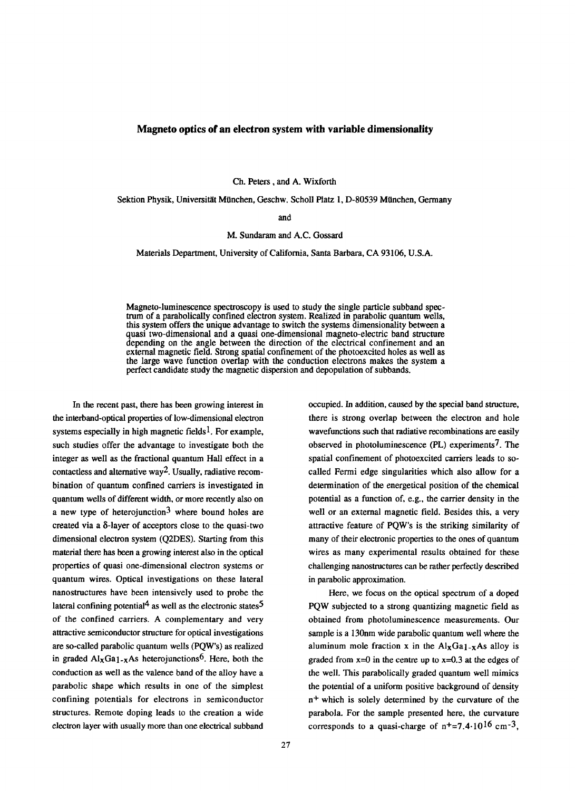## **Magneto optics of an electron system with variable dimensionality**

Ch. Peters, and A. Wixforth

Sektion Physik, Universität München, Geschw. Scholl Platz 1, D-80539 München, Germany

and

## M. Sundaram and A.C. Gossard

Materials Department, University of California, Santa Barbara, CA 93106, U.S.A.

Magneto-luminescence spectroscopy is used to study the single particle subband spectrum of a parabolically confined electron system. Realized in parabolic quantum wells, this system offers the unique advantage to switch the systems dimensionality between a quasi two-dimensional and a quasi one-dimensional magneto-electric band structure depending on the angle between the direction of the electrical confinement and an external magnetic field. Strong spatial confinement of the photoexcited holes as well as the large wave function overlap with the conduction electrons makes the system a perfect candidate study the magnetic dispersion and depopulation of subbands.

In the recent past, there has been growing interest in the interband-optical properties of low-dimensional electron systems especially in high magnetic fields<sup>1</sup>. For example, such studies offer the advantage to investigate both the integer as well as the fractional quantum Hall effect in a contactless and alternative way2. Usually, radiative recombination of quantum confined carriers is investigated in quantum wells of different width, or more recently also on a new type of heterojunction<sup>3</sup> where bound holes are created via a 8-layer of acceptors close to the quasi-two dimensional electron system (Q2DES). Starting from this material there has been a growing interest also in the optical properties of quasi one-dimensional electron systems or quantum wires. Optical investigations on these lateral nanostructures have been intensively used to probe the lateral confining potential<sup>4</sup> as well as the electronic states<sup>5</sup> of the confined carriers. A complementary and very attractive semiconductor structure for optical investigations are so-called parabolic quantum wells (PQW's) as realized in graded  $\text{Al}_X\text{Ga}_1$ -xAs heterojunctions<sup>6</sup>. Here, both the conduction as well as the valence band of the alloy have a parabolic shape which results in one of the simplest confining potentials for electrons in semiconductor structures. Remote doping leads to the creation a wide electron layer with usually more than one electrical subband

occupied. In addition, caused by the special band structure, there is strong overlap between the electron and hole wavefunctions such that radiative recombinations are easily observed in photoluminescence (PL) experiments7. The spatial confinement of photoexcited carriers leads to socalled Fermi edge singularities which also allow for a determination of the energetical position of the chemical potential as a function of, e.g., the carrier density in the well or an external magnetic field. Besides this, a very attractive feature of PQW's is the striking similarity of many of their electronic properties to the ones of quantum wires as many experimental results obtained for these challenging nanostructures can be rather perfectly described in parabolic approximation.

Here, we focus on the optical spectrum of a doped PQW subjected to a strong quantizing magnetic field as obtained from photoluminescence measurements. Our sample is a 130nm wide parabolic quantum well where the aluminum mole fraction x in the  $\text{Al}_{\text{X}}\text{Ga}_{1-\text{X}}\text{As}$  alloy is graded from  $x=0$  in the centre up to  $x=0.3$  at the edges of the well. This parabolically graded quantum well mimics the potential of a uniform positive background of density n+ which is solely determined by the curvature of the parabola. For the sample presented here, the curvature corresponds to a quasi-charge of  $n^+=7.4 \cdot 10^{16}$  cm<sup>-3</sup>,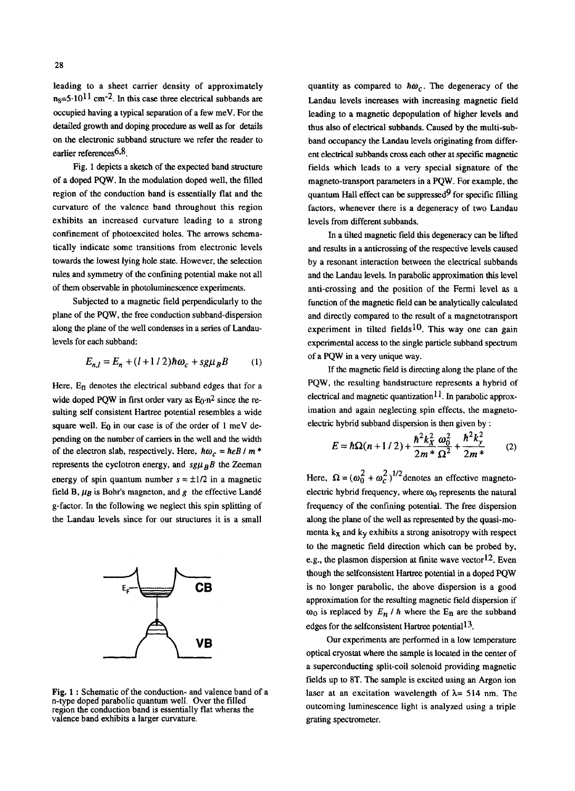leading to a sheet carrier density of approximately  $n<sub>S</sub>=5.10<sup>11</sup>$  cm<sup>-2</sup>. In this case three electrical subbands are occupied having a typical separation of a few meV. For the detailed growth and doping procedure as well as for details on the electronic subband structure we refer the reader to earlier references<sup>6,8</sup>.

Fig. 1 depicts a sketch of the expected band structure of a doped PQW. In the modulation doped well, the filled region of the conduction band is essentially fiat and the curvature of the valence band throughout this region exhibits an increased curvature leading to a strong confinement of photoexcited holes. The arrows schematically indicate some transitions from electronic levels towards the lowest lying hole state. However, the selection rules and symmetry of the confining potential make not all of them observable in photoluminescence experiments.

Subjected to a magnetic field perpendicularly to the plane of the PQW, the free conduction subband-dispersion along the plane of the well condenses in a series of Landaulevels for each subband:

$$
E_{n,l} = E_n + (l+1/2)\hbar\omega_c + sg\mu_B B \qquad (1)
$$

Here,  $E_n$  denotes the electrical subband edges that for a wide doped PQW in first order vary as  $E_0 \cdot n^2$  since the resuiting self consistent Hartree potential resembles a wide square well. Eq in our case is of the order of  $1 \text{ meV}$  depending on the number of carriers in the well and the width of the electron slab, respectively. Here,  $\hbar \omega_c = \hbar e B / m^*$ represents the cyclotron energy, and  $sg\mu_B B$  the Zeeman energy of spin quantum number  $s = \pm 1/2$  in a magnetic field B,  $\mu_B$  is Bohr's magneton, and g the effective Landé g-factor. In the following we neglect this spin splitting of the Landau levels since for our structures it is a small



**Fig. 1 :** Schematic of the conduction- and valence band of a n-type doped parabolic quantum well. Over the filled region the conduction band is essentially flat wheras the valence band exhibits a larger curvature.

quantity as compared to  $\hbar \omega_c$ . The degeneracy of the Landau levels increases with increasing magnetic field leading to a magnetic depopulation of higher levels and thus also of electrical subbands. Caused by the multi-subband occupancy the Landau levels originating from different electrical subbands cross each other at specific magnetic fields which leads to a very special signature of the magneto-transport parameters in a PQW. For example, the quantum Hall effect can be suppressed  $9$  for specific filling factors, whenever there is a degeneracy of two Landau levels from different subbands.

In a tilted magnetic field this degeneracy can be lifted and results in a anticrossing of the respective levels caused by a resonant interaction between the electrical subbands and the Landau levels. In parabolic approximation this level anti-crossing and the position of the Fermi level as a function of the magnetic field can be analytically calculated and directly compared to the result of a magnetotransport experiment in tilted fields<sup>10</sup>. This way one can gain experimental access to the single particle subband spectrum of a PQW in a very unique way.

If the magnetic field is directing along the plane of the PQW, the resulting bandstructure represents a hybrid of electrical and magnetic quantization<sup>11</sup>. In parabolic approximation and again neglecting spin effects, the magnetoelectric hybrid subband dispersion is then given by :

$$
E = \hbar\Omega(n+1/2) + \frac{\hbar^2 k_X^2}{2m^*} \frac{\omega_0^2}{\Omega^2} + \frac{\hbar^2 k_y^2}{2m^*}
$$
 (2)

Here,  $\Omega = (\omega_0^2 + \omega_c^2)^{1/2}$ denotes an effective magnetoelectric hybrid frequency, where  $\omega_0$  represents the natural frequency of the confining potential. The free dispersion along the plane of the well as represented by the quasi-momenta  $k<sub>x</sub>$  and  $k<sub>y</sub>$  exhibits a strong anisotropy with respect to the magnetic field direction which can be probed by, e.g., the plasmon dispersion at finite wave vector  $12$ . Even though the selfconsistent Hartree potential in a doped PQW is no longer parabolic, the above dispersion is a good approximation for the resulting magnetic field dispersion if  $\omega_0$  is replaced by  $E_n / h$  where the  $E_n$  are the subband edges for the selfconsistent Hartree potential<sup>13</sup>.

Our experiments are performed in a low temperature optical cryostat where the sample is located in the center of a superconducting split-coil solenoid providing magnetic fields up to 8T. The sample is excited using an Argon ion laser at an excitation wavelength of  $\lambda$ = 514 nm. The outcoming luminescence light is analyzed using a triple grating spectrometer.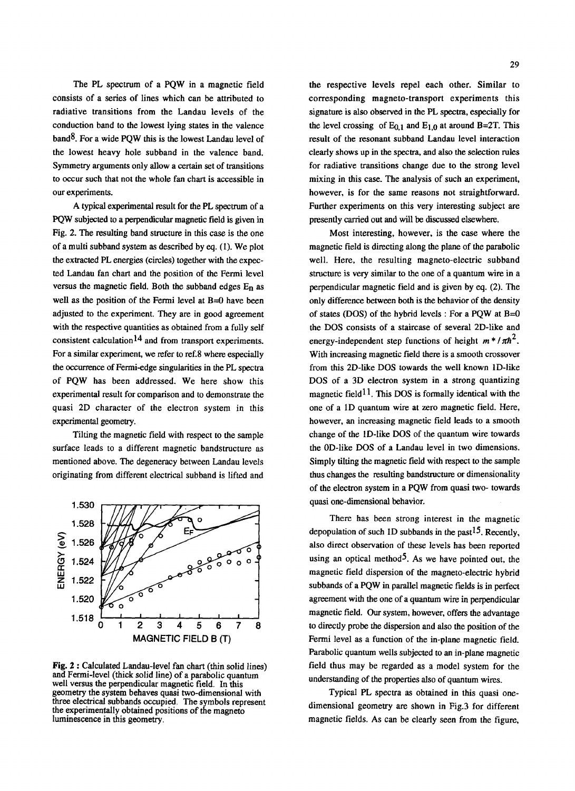The PL spectrum of a PQW in a magnetic field consists of a series of lines which can be attributed to radiative transitions from the Landau levels of the conduction band to the lowest lying states in the valence  $band<sup>8</sup>$ . For a wide PQW this is the lowest Landau level of the lowest heavy hole subband in the valence band. Symmetry arguments only allow a certain set of transitions to occur such that not the whole fan chart is accessible in our experiments.

A typical experimental result for the PL spectrum of a PQW subjected to a perpendicular magnetic field is given in Fig. 2. The resulting band structure in this case is the one of a multi subband system as described by eq. (1). We plot the extracted PL energies (circles) together with the expected Landau fan chart and the position of the Fermi level versus the magnetic field. Both the subband edges  $E_n$  as well as the position of the Fermi level at B=0 have been adjusted to the experiment. They are in good agreement with the respective quantities as obtained from a fully self consistent calculation<sup>14</sup> and from transport experiments. For a similar experiment, we refer to ref.8 where especially the occurrence of Fermi-edge singularities in the PL spectra of PQW has been addressed. We here show this experimental result for comparison and to demonstrate the quasi 2D character of the electron system in this experimental geometry.

Tilting the magnetic field with respect to the sample surface leads to a different magnetic bandstructure as mentioned above. The degeneracy between Landau levels originating from different electrical subband is lifted and



**Fig. 2 :** Calculated Landau-level fan chart (thin solid lines) and Fermi-level (thick solid line) of a parabolic quantum well versus the perpendicular magnetic field. In this geometry the system behaves quasi two-dimensional with three electrical subbands occupied. The symbols represent the experimentally obtained positions of the magneto luminescence in this geometry.

the respective levels repel each other. Similar to corresponding magneto-transport experiments this signature is also observed in the PL spectra, especially for the level crossing of  $E_{0,1}$  and  $E_{1,0}$  at around B=2T. This result of the resonant subband Landau level interaction clearly shows up in the spectra, and also the selection rules for radiative transitions change due to the strong level mixing in this case. The analysis of such an experiment, however, is for the same reasons not straightforward. Further experiments on this very interesting subject are presently carried out and will be discussed elsewhere.

Most interesting, however, is the case where the magnetic field is directing along the plane of the parabolic well. Here, the resulting magneto-electric subband structure is very similar to the one of a quantum wire in a perpendicular magnetic field and is given by eq. (2). The only difference between both is the behavior of the density of states (DOS) of the hybrid levels : For a PQW at B=0 the DOS consists of a staircase of several 2D-like and energy-independent step functions of height  $m^*/\pi h^2$ . With increasing magnetic field there is a smooth crossover from this 2D-like DOS towards the well known 1D-like DOS of a 3D electron system in a strong quantizing magnetic field<sup>11</sup>. This DOS is formally identical with the one of a 1D quantum wire at zero magnetic field. Here, however, an increasing magnetic field leads to a smooth change of the ID-like DOS of the quantum wire towards the 0D-like DOS of a Landau level in two dimensions. Simply tilting the magnetic field with respect to the sample thus changes the resulting bandstructure or dimensionality of the electron system in a PQW from quasi two- towards quasi one-dimensional behavior.

There has been strong interest in the magnetic depopulation of such 1D subbands in the past<sup>15</sup>. Recently, also direct observation of these levels has been reported using an optical method<sup>5</sup>. As we have pointed out, the magnetic field dispersion of the magneto-electric hybrid subbands of a PQW in parallel magnetic fields is in perfect agreement with the one of a quantum wire in perpendicular magnetic field. Our system, however, offers the advantage to directly probe the dispersion and also the position of the Fermi level as a function of the in-plane magnetic field. Parabolic quantum wells subjected to an in-plane magnetic field thus may be regarded as a model system for the understanding of the properties also of quantum wires.

Typical PL spectra as obtained in this quasi onedimensional geometry are shown in Fig.3 for different magnetic fields. As can be clearly seen from the figure,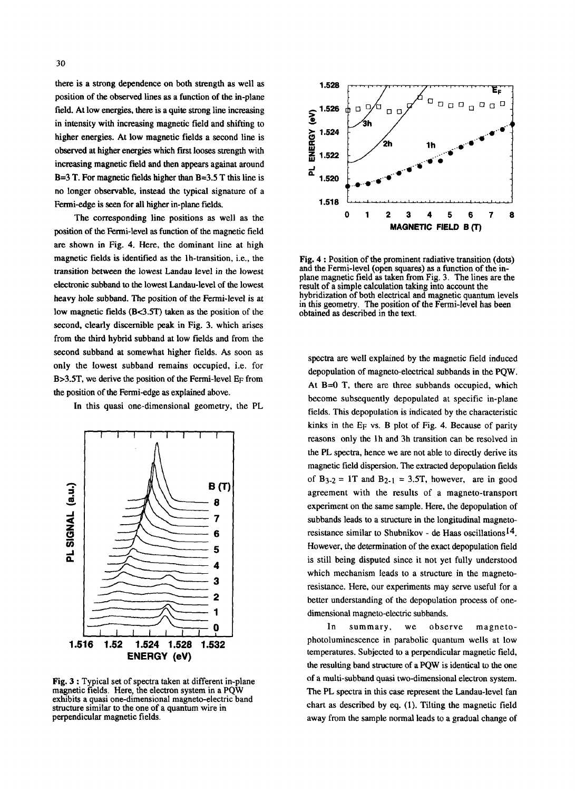there is a strong dependence on both strength as well as position of the observed lines as a function of the in-plane field. At low energies, there is a quite strong line increasing in intensity with increasing magnetic field and shifting to higher energies. At low magnetic fields a second line is observed at higher energies which first looses strength with increasing magnetic field and then appears againat around B=3 T. For magnetic fields higher than B=3.5 T this line is no longer observable, instead the typical signature of a Fermi-edge is seen for all higher in-plane fields.

The corresponding line positions as well as the position of the Fermi-level as function of the magnetic field are shown in Fig. 4. Here, the dominant line at high magnetic fields is identified as the lh-transition, i.e., the transition between the lowest Landau level in the lowest electronic subband to the lowest Landau-level of the lowest heavy hole subband. The position of the Fermi-level is at low magnetic fields (B<3.5T) taken as the position of the second, clearly discernible peak in Fig. 3. which arises from the third hybrid subband at low fields and from the second subband at somewhat higher fields. As soon as only the lowest subband remains occupied, i.e. for B>3.5T, we derive the position of the Fermi-level EF from the position of the Fermi-edge as explained above.

In this quasi one-dimensional geometry, the PL



Fig. 3 : Typical set of spectra taken at different in-plane magnetic fields. Here, the electron system in a PQW exhibits a quasi one-dimensional magneto-electric band structure similar to the one of a quantum wire in perpendicular magnetic fields.



**Fig. 4 :** Position of the prominent radiative transition (dots) and the Fermi-level (open squares) as a function of the inplane magnetic field as taken from Fig. 3. The lines are the result of a simple calculation taking into account the hybridization of both electrical and magnetic quantum levels in this geometry. The position of the Fermi-level has been obtained as described in the text.

spectra are well explained by the magnetic field induced depopulation of magneto-electrical subbands in the PQW. At B=0 T, there are three subbands occupied, which become subsequently depopulated at specific in-plane fields. This depopulation is indicated by the characteristic kinks in the EF vs. B plot of Fig. 4. Because of parity reasons only the lh and 3h transition can be resolved in the PL spectra, hence we are not able to directly derive its magnetic field dispersion. The extracted depopulation fields of  $B_{3-2} = 1T$  and  $B_{2-1} = 3.5T$ , however, are in good agreement with the results of a magneto-transport experiment on the same sample. Here, the depopulation of subbands leads to a structure in the longitudinal magnetoresistance similar to Shubnikov - de Haas oscillations14. However, the determination of the exact depopulation field is still being disputed since it not yet fully understood which mechanism leads to a structure in the magnetoresistance. Here, our experiments may serve useful for a better understanding of the depopulation process of onedimensional magneto-electric subbands.

In summary, we observe magnetophotoluminescence in parabolic quantum wells at low temperatures. Subjected to a perpendicular magnetic field, the resulting band structure of a PQW is identical to the one of a multi-subband quasi two-dimensional electron system. The PL spectra in this case represent the Landau-level fan chart as described by eq. (1). Tilting the magnetic field away from the sample normal leads to a gradual change of